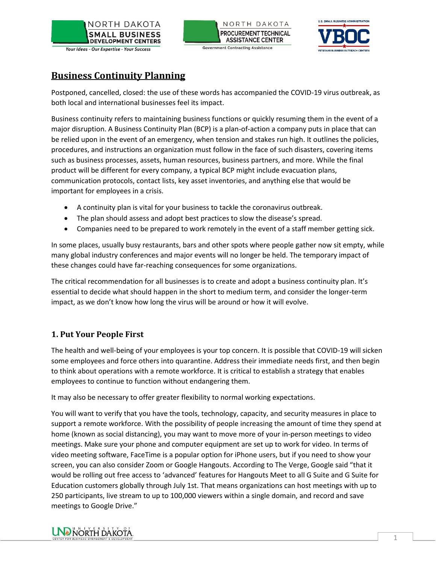





# **Business Continuity Planning**

Postponed, cancelled, closed: the use of these words has accompanied the COVID-19 virus outbreak, as both local and international businesses feel its impact.

Business continuity refers to maintaining business functions or quickly resuming them in the event of a major disruption. A Business Continuity Plan (BCP) is a plan-of-action a company puts in place that can be relied upon in the event of an emergency, when tension and stakes run high. It outlines the policies, procedures, and instructions an organization must follow in the face of such disasters, covering items such as business processes, assets, human resources, business partners, and more. While the final product will be different for every company, a typical BCP might include evacuation plans, communication protocols, contact lists, key asset inventories, and anything else that would be important for employees in a crisis.

- A continuity plan is vital for your business to tackle the coronavirus outbreak.
- The plan should assess and adopt best practices to slow the disease's spread.
- Companies need to be prepared to work remotely in the event of a staff member getting sick.

In some places, usually busy restaurants, bars and other spots where people gather now sit empty, while many global industry conferences and major events will no longer be held. The temporary impact of these changes could have far-reaching consequences for some organizations.

The critical recommendation for all businesses is to create and adopt a business continuity plan. It's essential to decide what should happen in the short to medium term, and consider the longer-term impact, as we don't know how long the virus will be around or how it will evolve.

# **1. Put Your People First**

The health and well-being of your employees is your top concern. It is possible that COVID-19 will sicken some employees and force others into quarantine. Address their immediate needs first, and then begin to think about operations with a remote workforce. It is critical to establish a strategy that enables employees to continue to function without endangering them.

It may also be necessary to offer greater flexibility to normal working expectations.

You will want to verify that you have the tools, technology, capacity, and security measures in place to support a remote workforce. With the possibility of people increasing the amount of time they spend at home (known as social distancing), you may want to move more of your in-person meetings to video meetings. Make sure your phone and computer equipment are set up to work for video. In terms of video meeting software, FaceTime is a popular option for iPhone users, but if you need to show your screen, you can also consider Zoom or Google Hangouts. According to The Verge, Google said "that it would be rolling out free access to 'advanced' features for Hangouts Meet to all G Suite and G Suite for Education customers globally through July 1st. That means organizations can host meetings with up to 250 participants, live stream to up to 100,000 viewers within a single domain, and record and save meetings to Google Drive."

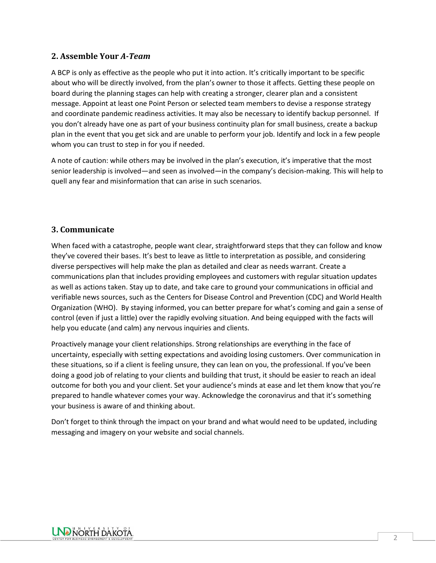#### **2. Assemble Your** *A-Team*

A BCP is only as effective as the people who put it into action. It's critically important to be specific about who will be directly involved, from the plan's owner to those it affects. Getting these people on board during the planning stages can help with creating a stronger, clearer plan and a consistent message. Appoint at least one Point Person or selected team members to devise a response strategy and coordinate pandemic readiness activities. It may also be necessary to identify backup personnel. If you don't already have one as part of your business continuity plan for small business, create a backup plan in the event that you get sick and are unable to perform your job. Identify and lock in a few people whom you can trust to step in for you if needed.

A note of caution: while others may be involved in the plan's execution, it's imperative that the most senior leadership is involved—and seen as involved—in the company's decision-making. This will help to quell any fear and misinformation that can arise in such scenarios.

#### **3. Communicate**

When faced with a catastrophe, people want clear, straightforward steps that they can follow and know they've covered their bases. It's best to leave as little to interpretation as possible, and considering diverse perspectives will help make the plan as detailed and clear as needs warrant. Create a communications plan that includes providing employees and customers with regular situation updates as well as actions taken. Stay up to date, and take care to ground your communications in official and verifiable news sources, such as the Centers for Disease Control and Prevention (CDC) and World Health Organization (WHO). By staying informed, you can better prepare for what's coming and gain a sense of control (even if just a little) over the rapidly evolving situation. And being equipped with the facts will help you educate (and calm) any nervous inquiries and clients.

Proactively manage your client relationships. Strong relationships are everything in the face of uncertainty, especially with setting expectations and avoiding losing customers. Over communication in these situations, so if a client is feeling unsure, they can lean on you, the professional. If you've been doing a good job of relating to your clients and building that trust, it should be easier to reach an ideal outcome for both you and your client. Set your audience's minds at ease and let them know that you're prepared to handle whatever comes your way. Acknowledge the coronavirus and that it's something your business is aware of and thinking about.

Don't forget to think through the impact on your brand and what would need to be updated, including messaging and imagery on your website and social channels.

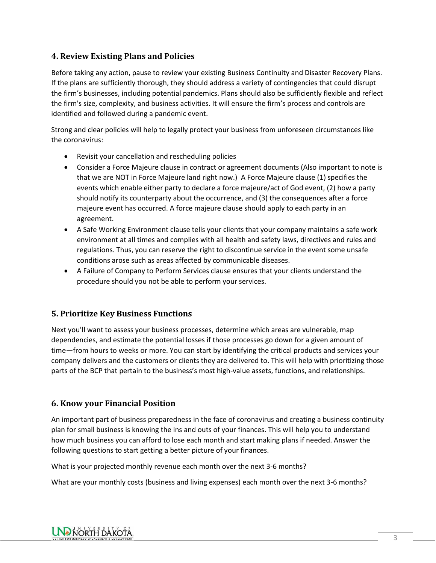## **4. Review Existing Plans and Policies**

Before taking any action, pause to review your existing Business Continuity and Disaster Recovery Plans. If the plans are sufficiently thorough, they should address a variety of contingencies that could disrupt the firm's businesses, including potential pandemics. Plans should also be sufficiently flexible and reflect the firm's size, complexity, and business activities. It will ensure the firm's process and controls are identified and followed during a pandemic event.

Strong and clear policies will help to legally protect your business from unforeseen circumstances like the coronavirus:

- Revisit your cancellation and rescheduling policies
- Consider a Force Majeure clause in contract or agreement documents (Also important to note is that we are NOT in Force Majeure land right now.) A Force Majeure clause (1) specifies the events which enable either party to declare a force majeure/act of God event, (2) how a party should notify its counterparty about the occurrence, and (3) the consequences after a force majeure event has occurred. A force majeure clause should apply to each party in an agreement.
- A Safe Working Environment clause tells your clients that your company maintains a safe work environment at all times and complies with all health and safety laws, directives and rules and regulations. Thus, you can reserve the right to discontinue service in the event some unsafe conditions arose such as areas affected by communicable diseases.
- A Failure of Company to Perform Services clause ensures that your clients understand the procedure should you not be able to perform your services.

## **5. Prioritize Key Business Functions**

Next you'll want to assess your business processes, determine which areas are vulnerable, map dependencies, and estimate the potential losses if those processes go down for a given amount of time—from hours to weeks or more. You can start by identifying the critical products and services your company delivers and the customers or clients they are delivered to. This will help with prioritizing those parts of the BCP that pertain to the business's most high-value assets, functions, and relationships.

#### **6. Know your Financial Position**

An important part of business preparedness in the face of coronavirus and creating a business continuity plan for small business is knowing the ins and outs of your finances. This will help you to understand how much business you can afford to lose each month and start making plans if needed. Answer the following questions to start getting a better picture of your finances.

What is your projected monthly revenue each month over the next 3-6 months?

What are your monthly costs (business and living expenses) each month over the next 3-6 months?